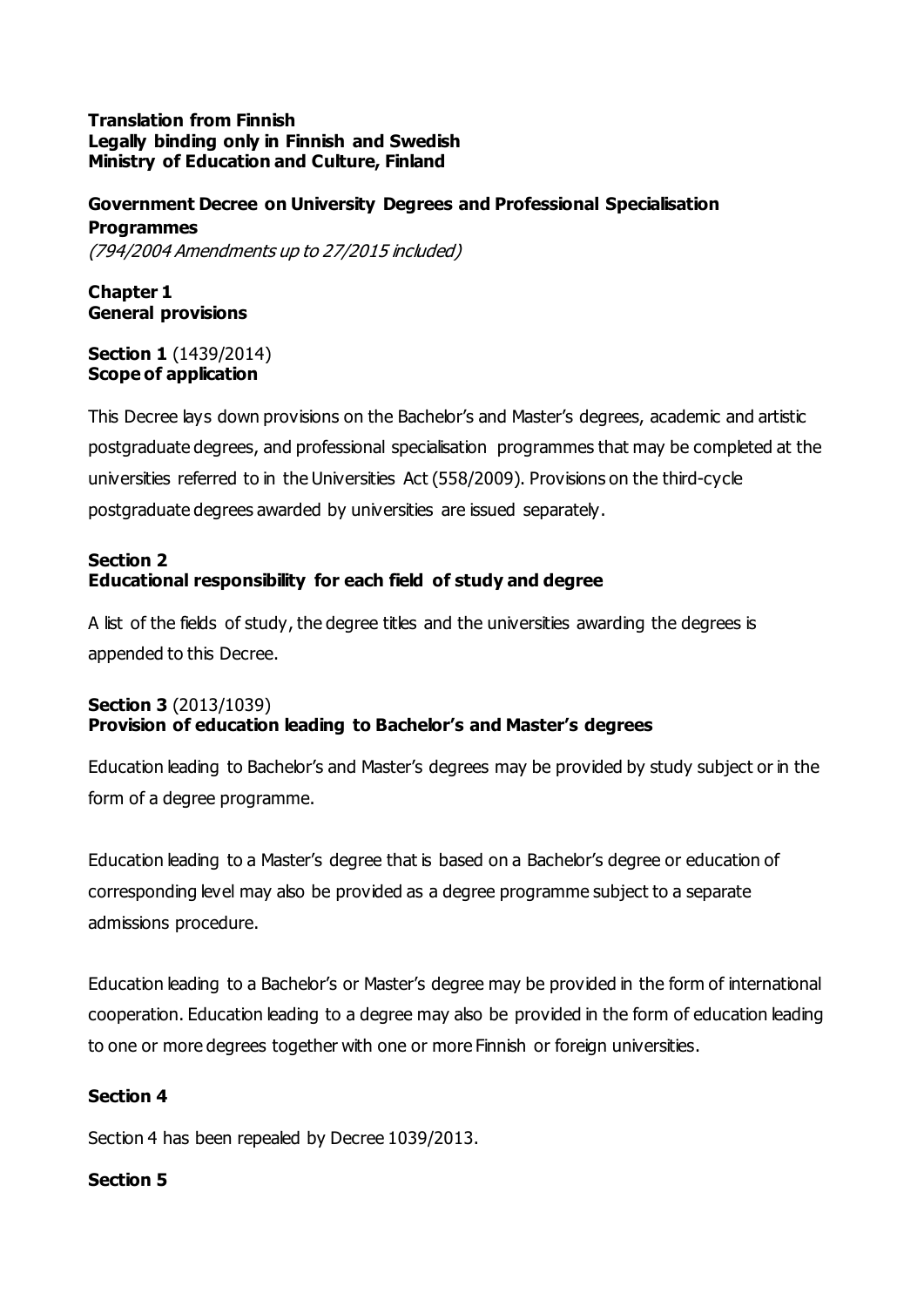#### **Translation from Finnish Legally binding only in Finnish and Swedish Ministry of Education and Culture, Finland**

# **Government Decree on University Degrees and Professional Specialisation Programmes**

(794/2004 Amendments up to 27/2015 included)

**Chapter 1 General provisions**

#### **Section 1** (1439/2014) **Scope of application**

This Decree lays down provisions on the Bachelor's and Master's degrees, academic and artistic postgraduate degrees, and professional specialisation programmes that may be completed at the universities referred to in the Universities Act (558/2009). Provisions on the third-cycle postgraduate degrees awarded by universities are issued separately.

## **Section 2 Educational responsibility for each field of study and degree**

A list of the fields of study, the degree titles and the universities awarding the degrees is appended to this Decree.

# **Section 3** (2013/1039) **Provision of education leading to Bachelor's and Master's degrees**

Education leading to Bachelor's and Master's degrees may be provided by study subject or in the form of a degree programme.

Education leading to a Master's degree that is based on a Bachelor's degree or education of corresponding level may also be provided as a degree programme subject to a separate admissions procedure.

Education leading to a Bachelor's or Master's degree may be provided in the form of international cooperation. Education leading to a degree may also be provided in the form of education leading to one or more degrees together with one or more Finnish or foreign universities.

# **Section 4**

Section 4 has been repealed by Decree 1039/2013.

# **Section 5**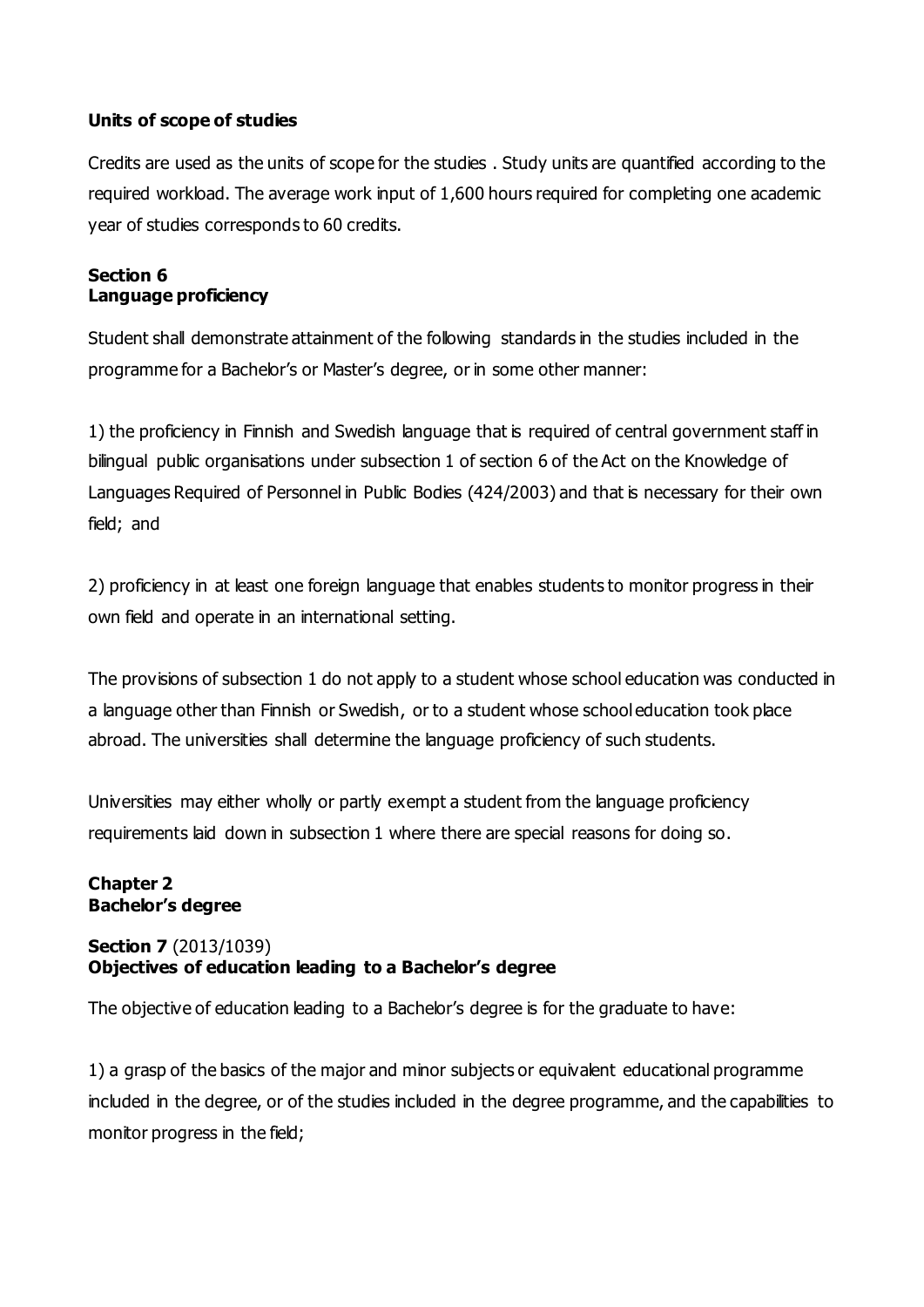## **Units of scope of studies**

Credits are used as the units of scope for the studies . Study units are quantified according to the required workload. The average work input of 1,600 hours required for completing one academic year of studies corresponds to 60 credits.

#### **Section 6 Language proficiency**

Student shall demonstrate attainment of the following standards in the studies included in the programme for a Bachelor's or Master's degree, or in some other manner:

1) the proficiency in Finnish and Swedish language that is required of central government staff in bilingual public organisations under subsection 1 of section 6 of the Act on the Knowledge of Languages Required of Personnel in Public Bodies (424/2003) and that is necessary for their own field; and

2) proficiency in at least one foreign language that enables students to monitor progress in their own field and operate in an international setting.

The provisions of subsection 1 do not apply to a student whose school education was conducted in a language other than Finnish or Swedish, or to a student whose school education took place abroad. The universities shall determine the language proficiency of such students.

Universities may either wholly or partly exempt a student from the language proficiency requirements laid down in subsection 1 where there are special reasons for doing so.

#### **Chapter 2 Bachelor's degree**

## **Section 7** (2013/1039) **Objectives of education leading to a Bachelor's degree**

The objective of education leading to a Bachelor's degree is for the graduate to have:

1) a grasp of the basics of the major and minor subjects or equivalent educational programme included in the degree, or of the studies included in the degree programme, and the capabilities to monitor progress in the field;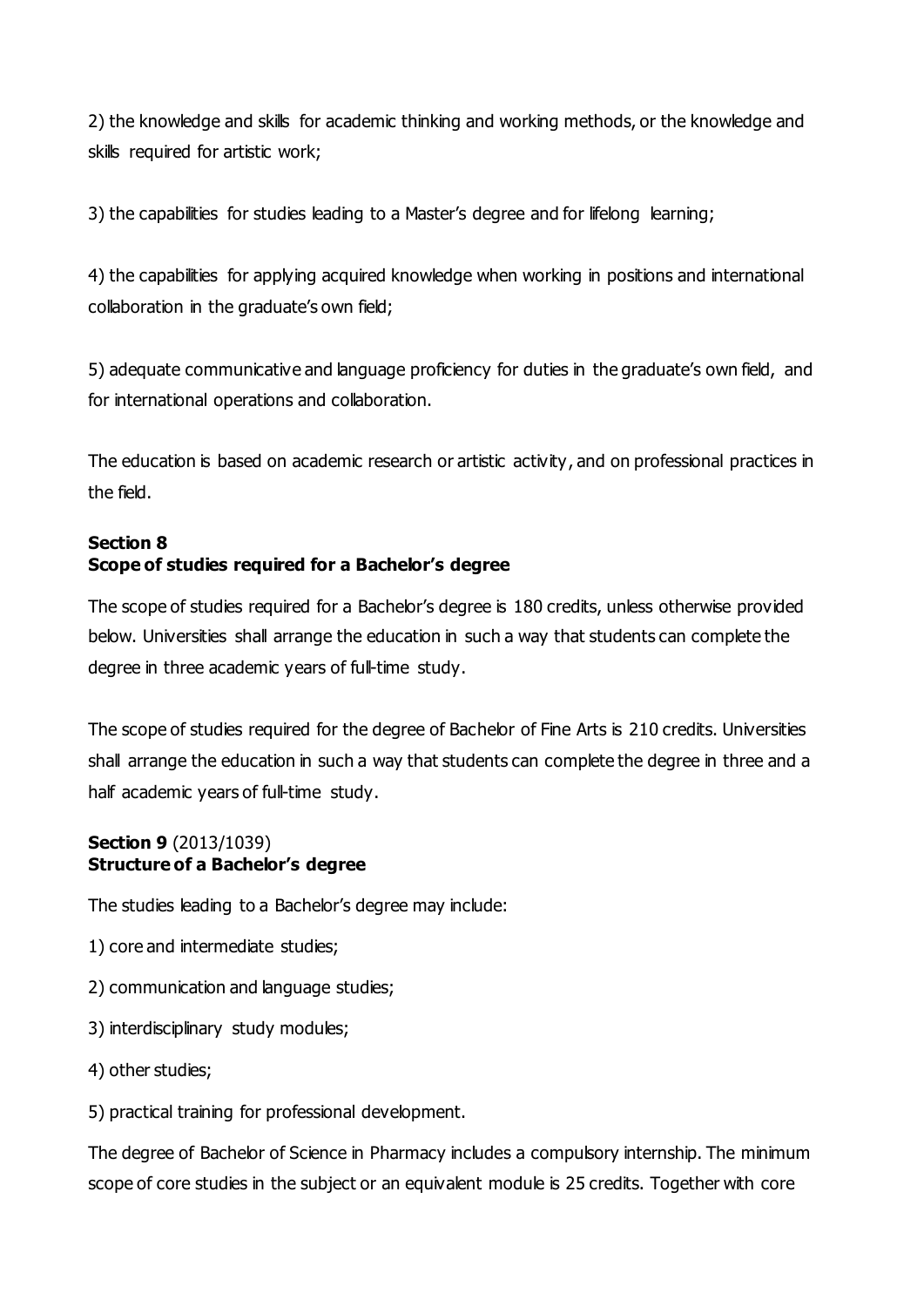2) the knowledge and skills for academic thinking and working methods, or the knowledge and skills required for artistic work;

3) the capabilities for studies leading to a Master's degree and for lifelong learning;

4) the capabilities for applying acquired knowledge when working in positions and international collaboration in the graduate's own field;

5) adequate communicative and language proficiency for duties in the graduate's own field, and for international operations and collaboration.

The education is based on academic research or artistic activity, and on professional practices in the field.

# **Section 8 Scope of studies required for a Bachelor's degree**

The scope of studies required for a Bachelor's degree is 180 credits, unless otherwise provided below. Universities shall arrange the education in such a way that students can complete the degree in three academic years of full-time study.

The scope of studies required for the degree of Bachelor of Fine Arts is 210 credits. Universities shall arrange the education in such a way that students can complete the degree in three and a half academic years of full-time study.

#### **Section 9** (2013/1039) **Structure of a Bachelor's degree**

The studies leading to a Bachelor's degree may include:

- 1) core and intermediate studies;
- 2) communication and language studies;
- 3) interdisciplinary study modules;
- 4) other studies;
- 5) practical training for professional development.

The degree of Bachelor of Science in Pharmacy includes a compulsory internship. The minimum scope of core studies in the subject or an equivalent module is 25 credits. Together with core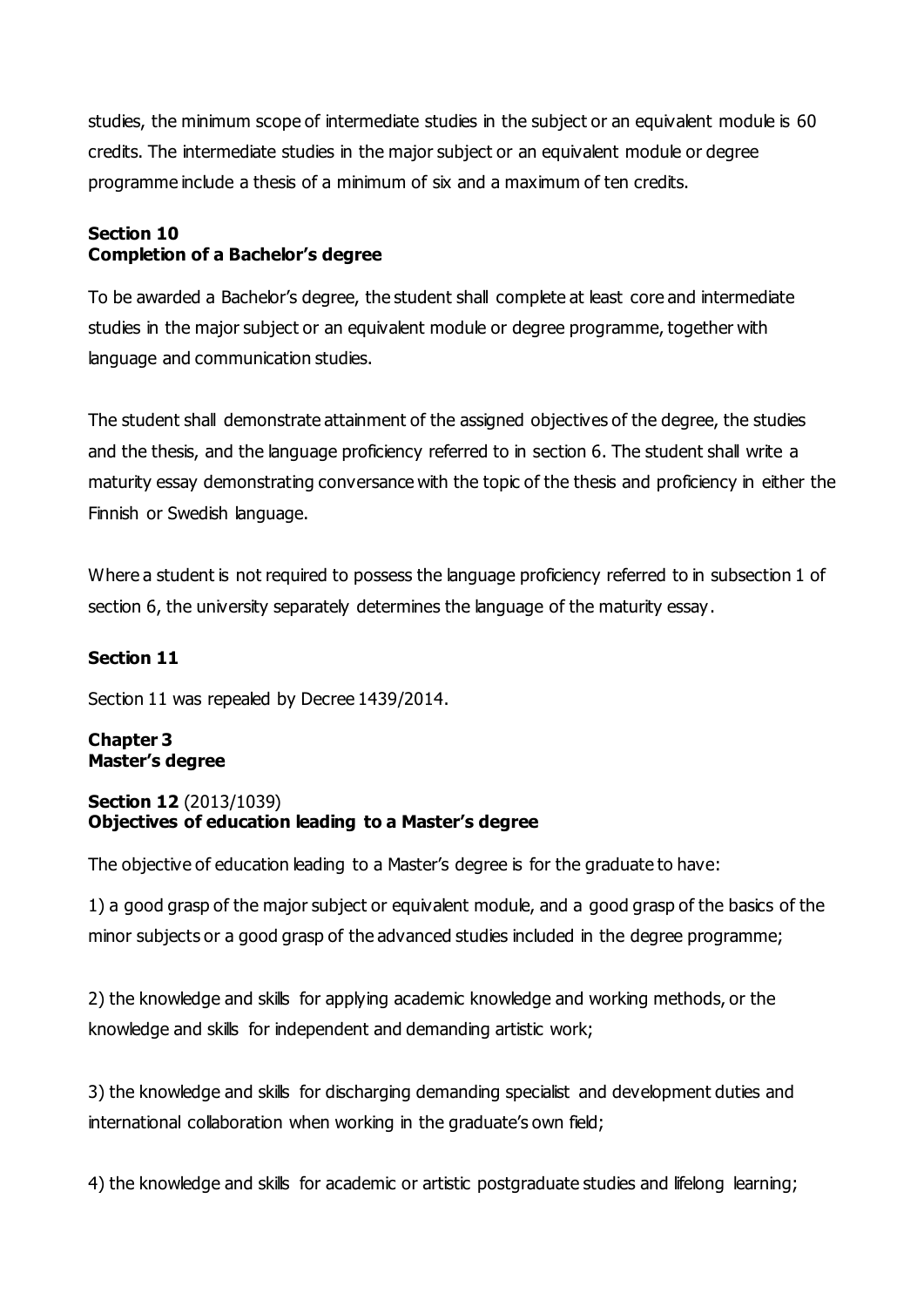studies, the minimum scope of intermediate studies in the subject or an equivalent module is 60 credits. The intermediate studies in the major subject or an equivalent module or degree programme include a thesis of a minimum of six and a maximum of ten credits.

# **Section 10 Completion of a Bachelor's degree**

To be awarded a Bachelor's degree, the student shall complete at least core and intermediate studies in the major subject or an equivalent module or degree programme, together with language and communication studies.

The student shall demonstrate attainment of the assigned objectives of the degree, the studies and the thesis, and the language proficiency referred to in section 6. The student shall write a maturity essay demonstrating conversance with the topic of the thesis and proficiency in either the Finnish or Swedish language.

Where a student is not required to possess the language proficiency referred to in subsection 1 of section 6, the university separately determines the language of the maturity essay.

# **Section 11**

Section 11 was repealed by Decree 1439/2014.

## **Chapter 3 Master's degree**

#### **Section 12** (2013/1039) **Objectives of education leading to a Master's degree**

The objective of education leading to a Master's degree is for the graduate to have:

1) a good grasp of the major subject or equivalent module, and a good grasp of the basics of the minor subjects or a good grasp of the advanced studies included in the degree programme;

2) the knowledge and skills for applying academic knowledge and working methods, or the knowledge and skills for independent and demanding artistic work;

3) the knowledge and skills for discharging demanding specialist and development duties and international collaboration when working in the graduate's own field;

4) the knowledge and skills for academic or artistic postgraduate studies and lifelong learning;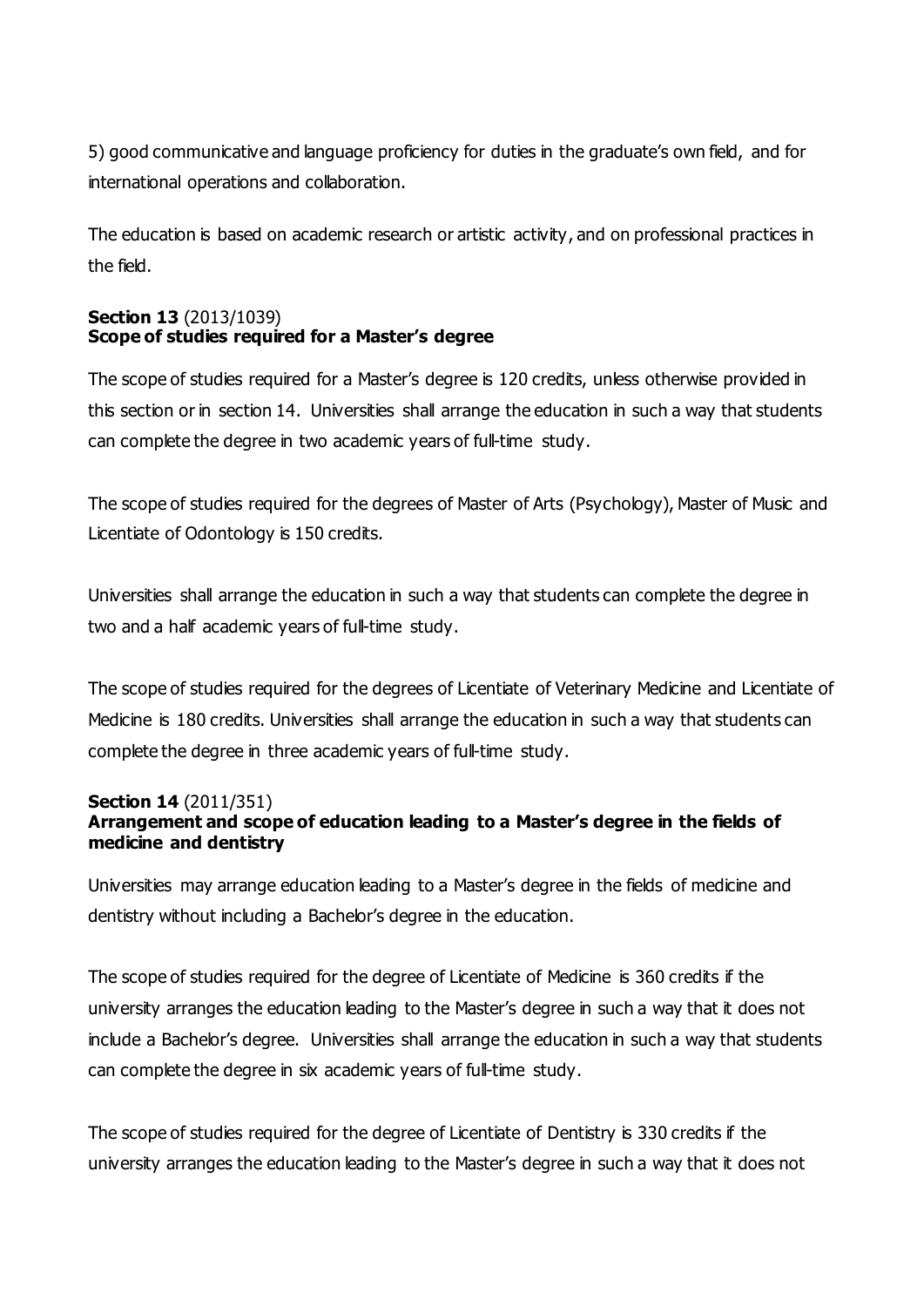5) good communicative and language proficiency for duties in the graduate's own field, and for international operations and collaboration.

The education is based on academic research or artistic activity, and on professional practices in the field.

## **Section 13** (2013/1039) **Scope of studies required for a Master's degree**

The scope of studies required for a Master's degree is 120 credits, unless otherwise provided in this section or in section 14. Universities shall arrange the education in such a way that students can complete the degree in two academic years of full-time study.

The scope of studies required for the degrees of Master of Arts (Psychology), Master of Music and Licentiate of Odontology is 150 credits.

Universities shall arrange the education in such a way that students can complete the degree in two and a half academic years of full-time study.

The scope of studies required for the degrees of Licentiate of Veterinary Medicine and Licentiate of Medicine is 180 credits. Universities shall arrange the education in such a way that students can complete the degree in three academic years of full-time study.

#### **Section 14** (2011/351)

# **Arrangement and scope of education leading to a Master's degree in the fields of medicine and dentistry**

Universities may arrange education leading to a Master's degree in the fields of medicine and dentistry without including a Bachelor's degree in the education.

The scope of studies required for the degree of Licentiate of Medicine is 360 credits if the university arranges the education leading to the Master's degree in such a way that it does not include a Bachelor's degree. Universities shall arrange the education in such a way that students can complete the degree in six academic years of full-time study.

The scope of studies required for the degree of Licentiate of Dentistry is 330 credits if the university arranges the education leading to the Master's degree in such a way that it does not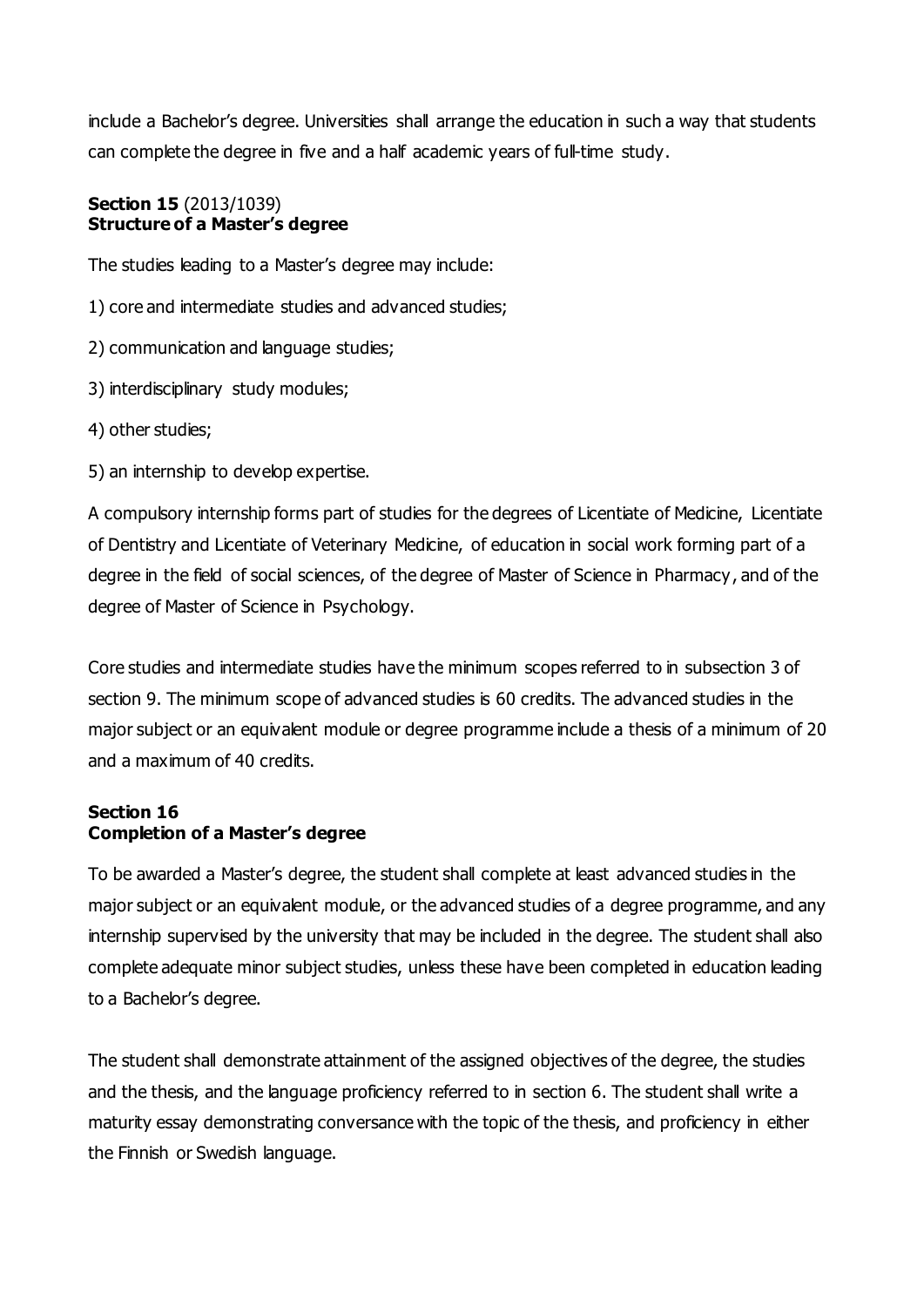include a Bachelor's degree. Universities shall arrange the education in such a way that students can complete the degree in five and a half academic years of full-time study.

#### **Section 15** (2013/1039) **Structure of a Master's degree**

The studies leading to a Master's degree may include:

- 1) core and intermediate studies and advanced studies;
- 2) communication and language studies;
- 3) interdisciplinary study modules;
- 4) other studies;
- 5) an internship to develop expertise.

A compulsory internship forms part of studies for the degrees of Licentiate of Medicine, Licentiate of Dentistry and Licentiate of Veterinary Medicine, of education in social work forming part of a degree in the field of social sciences, of the degree of Master of Science in Pharmacy, and of the degree of Master of Science in Psychology.

Core studies and intermediate studies have the minimum scopes referred to in subsection 3 of section 9. The minimum scope of advanced studies is 60 credits. The advanced studies in the major subject or an equivalent module or degree programme include a thesis of a minimum of 20 and a maximum of 40 credits.

#### **Section 16 Completion of a Master's degree**

To be awarded a Master's degree, the student shall complete at least advanced studies in the major subject or an equivalent module, or the advanced studies of a degree programme, and any internship supervised by the university that may be included in the degree. The student shall also complete adequate minor subject studies, unless these have been completed in education leading to a Bachelor's degree.

The student shall demonstrate attainment of the assigned objectives of the degree, the studies and the thesis, and the language proficiency referred to in section 6. The student shall write a maturity essay demonstrating conversance with the topic of the thesis, and proficiency in either the Finnish or Swedish language.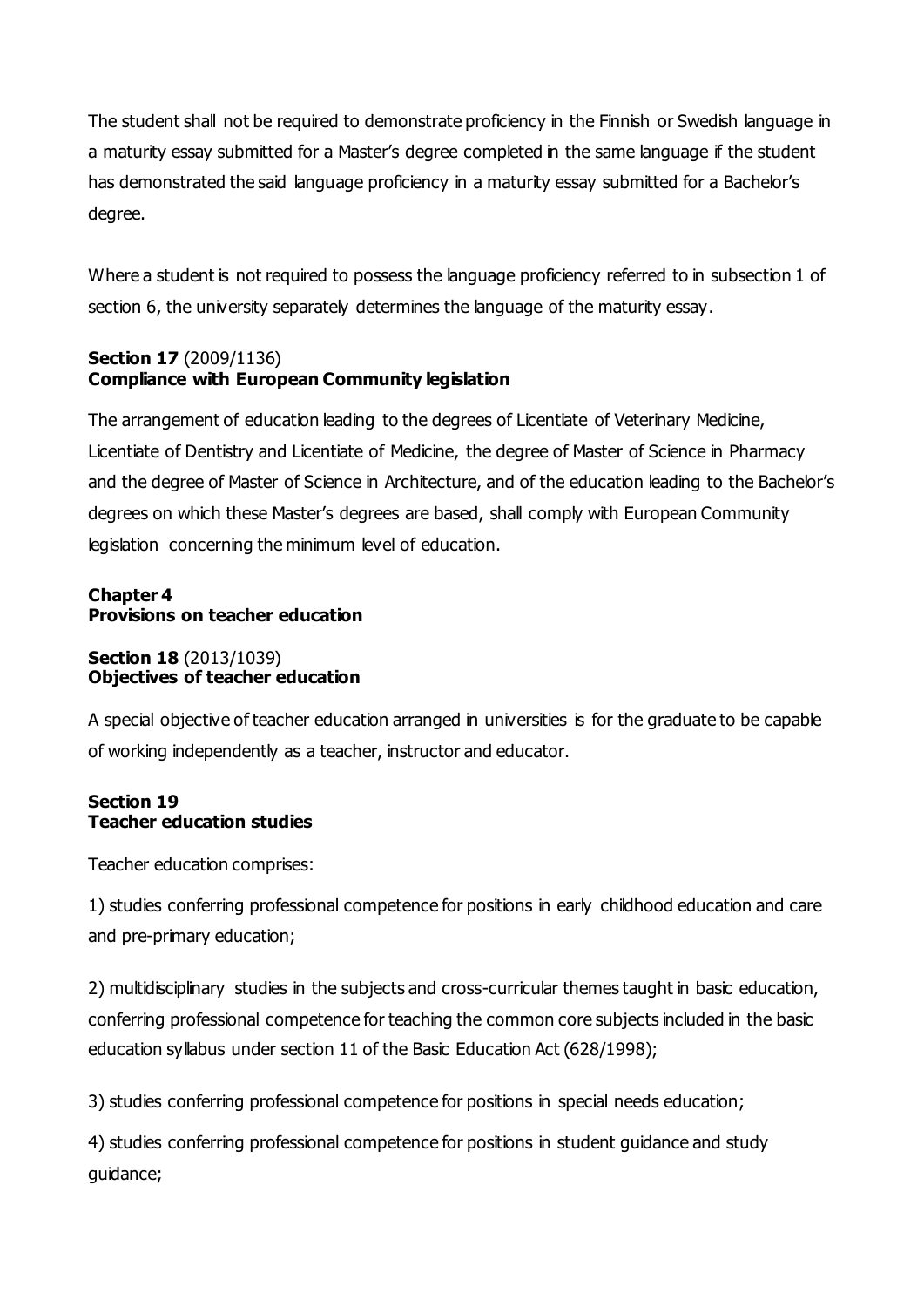The student shall not be required to demonstrate proficiency in the Finnish or Swedish language in a maturity essay submitted for a Master's degree completed in the same language if the student has demonstrated the said language proficiency in a maturity essay submitted for a Bachelor's degree.

Where a student is not required to possess the language proficiency referred to in subsection 1 of section 6, the university separately determines the language of the maturity essay.

## **Section 17** (2009/1136) **Compliance with European Community legislation**

The arrangement of education leading to the degrees of Licentiate of Veterinary Medicine, Licentiate of Dentistry and Licentiate of Medicine, the degree of Master of Science in Pharmacy and the degree of Master of Science in Architecture, and of the education leading to the Bachelor's degrees on which these Master's degrees are based, shall comply with European Community legislation concerning the minimum level of education.

## **Chapter 4 Provisions on teacher education**

#### **Section 18** (2013/1039) **Objectives of teacher education**

A special objective of teacher education arranged in universities is for the graduate to be capable of working independently as a teacher, instructor and educator.

## **Section 19 Teacher education studies**

Teacher education comprises:

1) studies conferring professional competence for positions in early childhood education and care and pre-primary education;

2) multidisciplinary studies in the subjects and cross-curricular themes taught in basic education, conferring professional competence for teaching the common core subjects included in the basic education syllabus under section 11 of the Basic Education Act (628/1998);

3) studies conferring professional competence for positions in special needs education;

4) studies conferring professional competence for positions in student guidance and study guidance;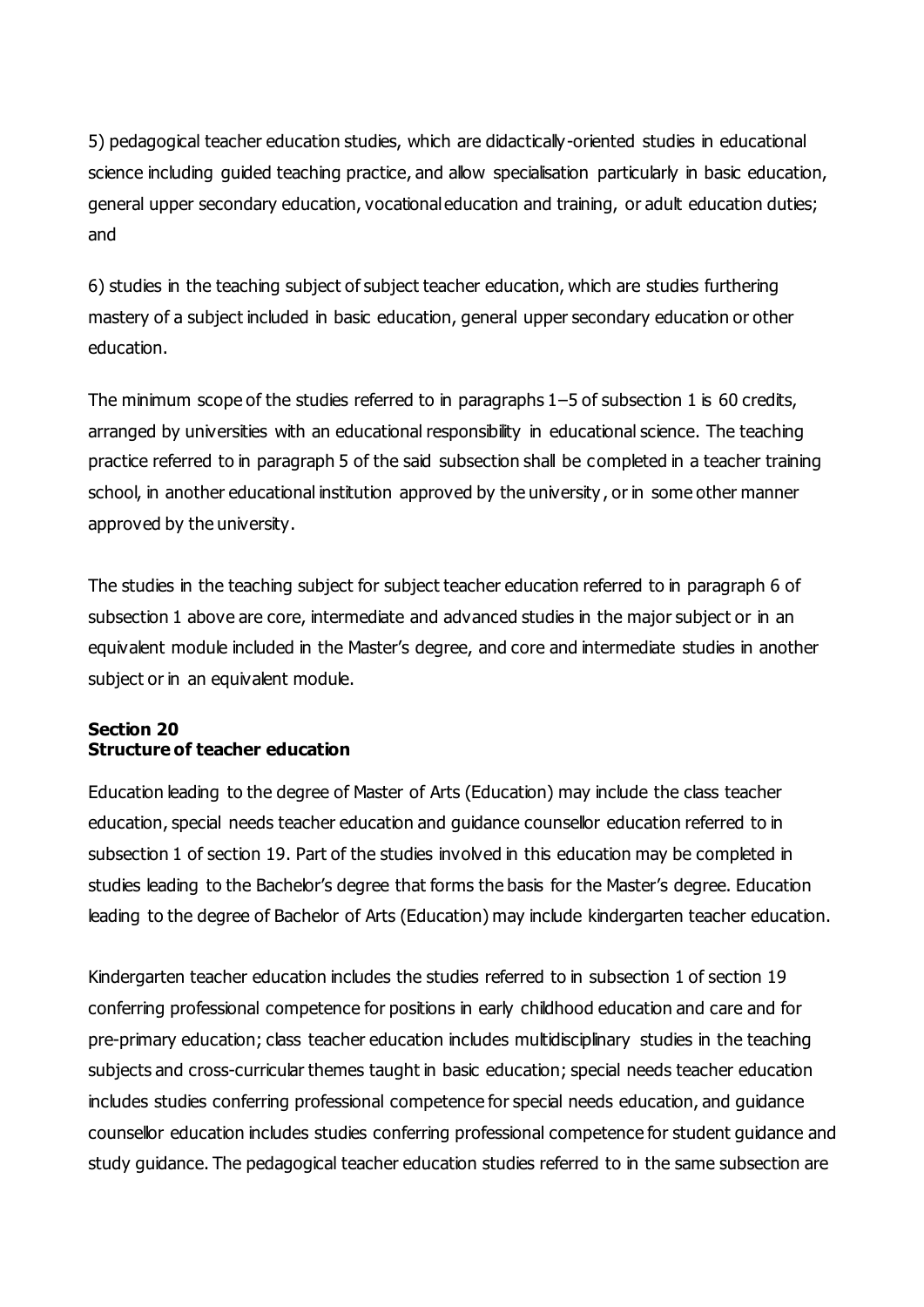5) pedagogical teacher education studies, which are didactically-oriented studies in educational science including guided teaching practice, and allow specialisation particularly in basic education, general upper secondary education, vocational education and training, or adult education duties; and

6) studies in the teaching subject of subject teacher education, which are studies furthering mastery of a subject included in basic education, general upper secondary education or other education.

The minimum scope of the studies referred to in paragraphs 1–5 of subsection 1 is 60 credits, arranged by universities with an educational responsibility in educational science. The teaching practice referred to in paragraph 5 of the said subsection shall be completed in a teacher training school, in another educational institution approved by the university , or in some other manner approved by the university.

The studies in the teaching subject for subject teacher education referred to in paragraph 6 of subsection 1 above are core, intermediate and advanced studies in the major subject or in an equivalent module included in the Master's degree, and core and intermediate studies in another subject or in an equivalent module.

#### **Section 20 Structure of teacher education**

Education leading to the degree of Master of Arts (Education) may include the class teacher education, special needs teacher education and guidance counsellor education referred to in subsection 1 of section 19. Part of the studies involved in this education may be completed in studies leading to the Bachelor's degree that forms the basis for the Master's degree. Education leading to the degree of Bachelor of Arts (Education) may include kindergarten teacher education.

Kindergarten teacher education includes the studies referred to in subsection 1 of section 19 conferring professional competence for positions in early childhood education and care and for pre-primary education; class teacher education includes multidisciplinary studies in the teaching subjects and cross-curricular themes taught in basic education; special needs teacher education includes studies conferring professional competence for special needs education, and guidance counsellor education includes studies conferring professional competence for student guidance and study guidance. The pedagogical teacher education studies referred to in the same subsection are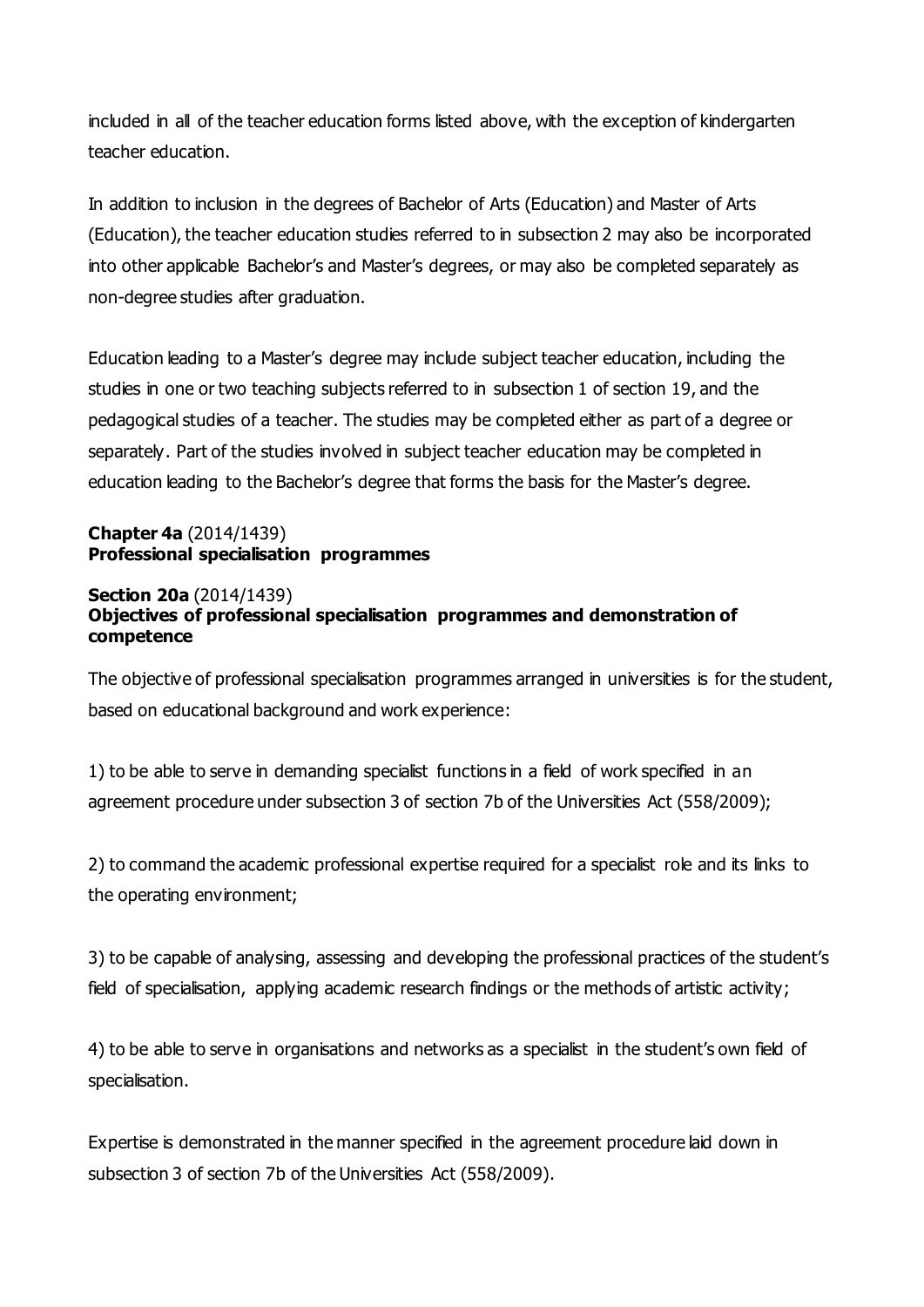included in all of the teacher education forms listed above, with the exception of kindergarten teacher education.

In addition to inclusion in the degrees of Bachelor of Arts (Education) and Master of Arts (Education), the teacher education studies referred to in subsection 2 may also be incorporated into other applicable Bachelor's and Master's degrees, or may also be completed separately as non-degree studies after graduation.

Education leading to a Master's degree may include subject teacher education, including the studies in one or two teaching subjects referred to in subsection 1 of section 19, and the pedagogical studies of a teacher. The studies may be completed either as part of a degree or separately. Part of the studies involved in subject teacher education may be completed in education leading to the Bachelor's degree that forms the basis for the Master's degree.

## **Chapter 4a** (2014/1439) **Professional specialisation programmes**

#### **Section 20a** (2014/1439) **Objectives of professional specialisation programmes and demonstration of competence**

The objective of professional specialisation programmes arranged in universities is for the student, based on educational background and work experience:

1) to be able to serve in demanding specialist functions in a field of work specified in an agreement procedure under subsection 3 of section 7b of the Universities Act (558/2009);

2) to command the academic professional expertise required for a specialist role and its links to the operating environment;

3) to be capable of analysing, assessing and developing the professional practices of the student's field of specialisation, applying academic research findings or the methods of artistic activity;

4) to be able to serve in organisations and networks as a specialist in the student's own field of specialisation.

Expertise is demonstrated in the manner specified in the agreement procedure laid down in subsection 3 of section 7b of the Universities Act (558/2009).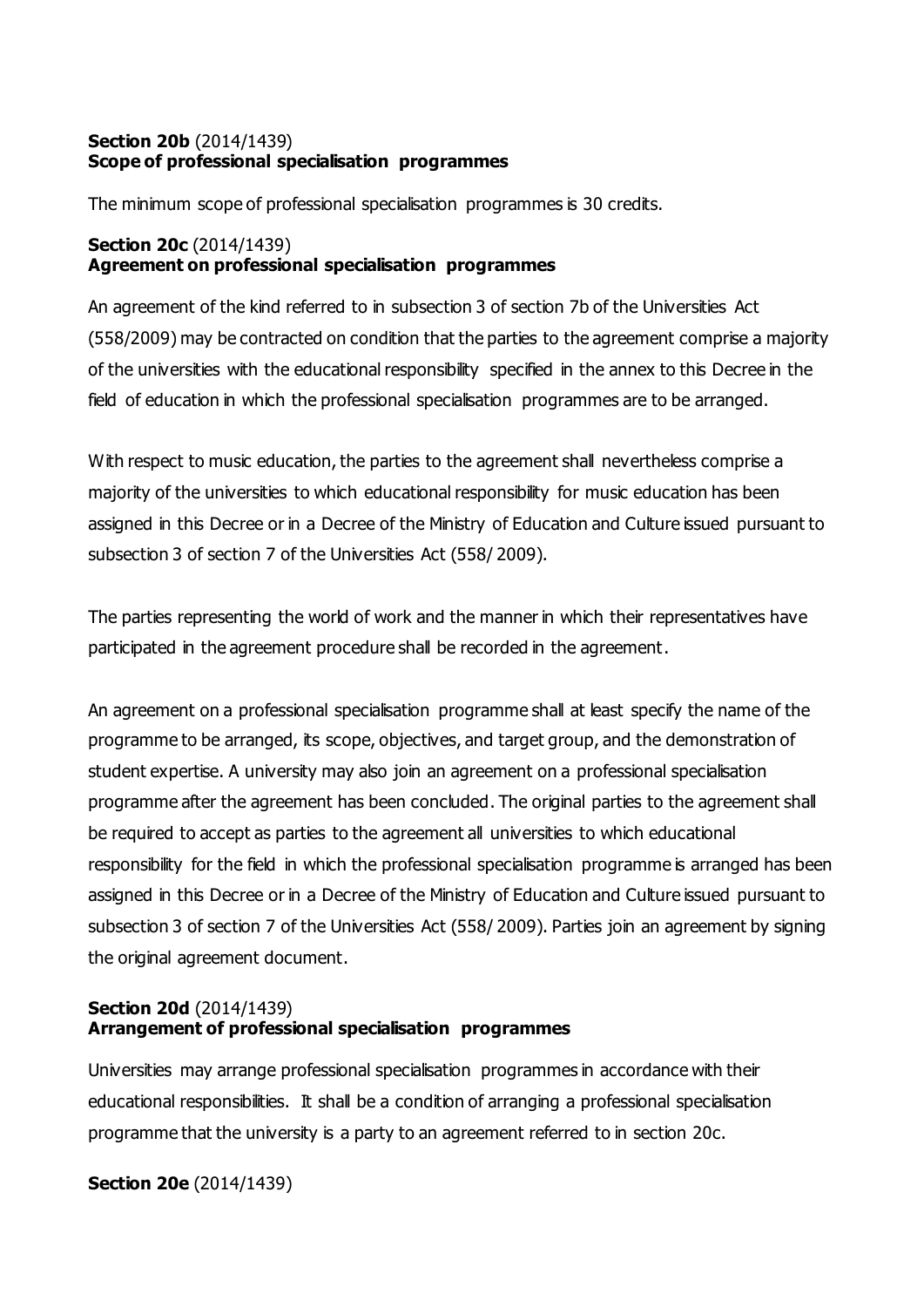#### **Section 20b** (2014/1439) **Scope of professional specialisation programmes**

The minimum scope of professional specialisation programmes is 30 credits.

#### **Section 20c** (2014/1439) **Agreement on professional specialisation programmes**

An agreement of the kind referred to in subsection 3 of section 7b of the Universities Act (558/2009) may be contracted on condition that the parties to the agreement comprise a majority of the universities with the educational responsibility specified in the annex to this Decree in the field of education in which the professional specialisation programmes are to be arranged.

With respect to music education, the parties to the agreement shall nevertheless comprise a majority of the universities to which educational responsibility for music education has been assigned in this Decree or in a Decree of the Ministry of Education and Culture issued pursuant to subsection 3 of section 7 of the Universities Act (558/ 2009).

The parties representing the world of work and the manner in which their representatives have participated in the agreement procedure shall be recorded in the agreement.

An agreement on a professional specialisation programme shall at least specify the name of the programme to be arranged, its scope, objectives, and target group, and the demonstration of student expertise. A university may also join an agreement on a professional specialisation programme after the agreement has been concluded. The original parties to the agreement shall be required to accept as parties to the agreement all universities to which educational responsibility for the field in which the professional specialisation programme is arranged has been assigned in this Decree or in a Decree of the Ministry of Education and Culture issued pursuant to subsection 3 of section 7 of the Universities Act (558/2009). Parties join an agreement by signing the original agreement document.

#### **Section 20d** (2014/1439) **Arrangement of professional specialisation programmes**

Universities may arrange professional specialisation programmes in accordance with their educational responsibilities. It shall be a condition of arranging a professional specialisation programme that the university is a party to an agreement referred to in section 20c.

**Section 20e** (2014/1439)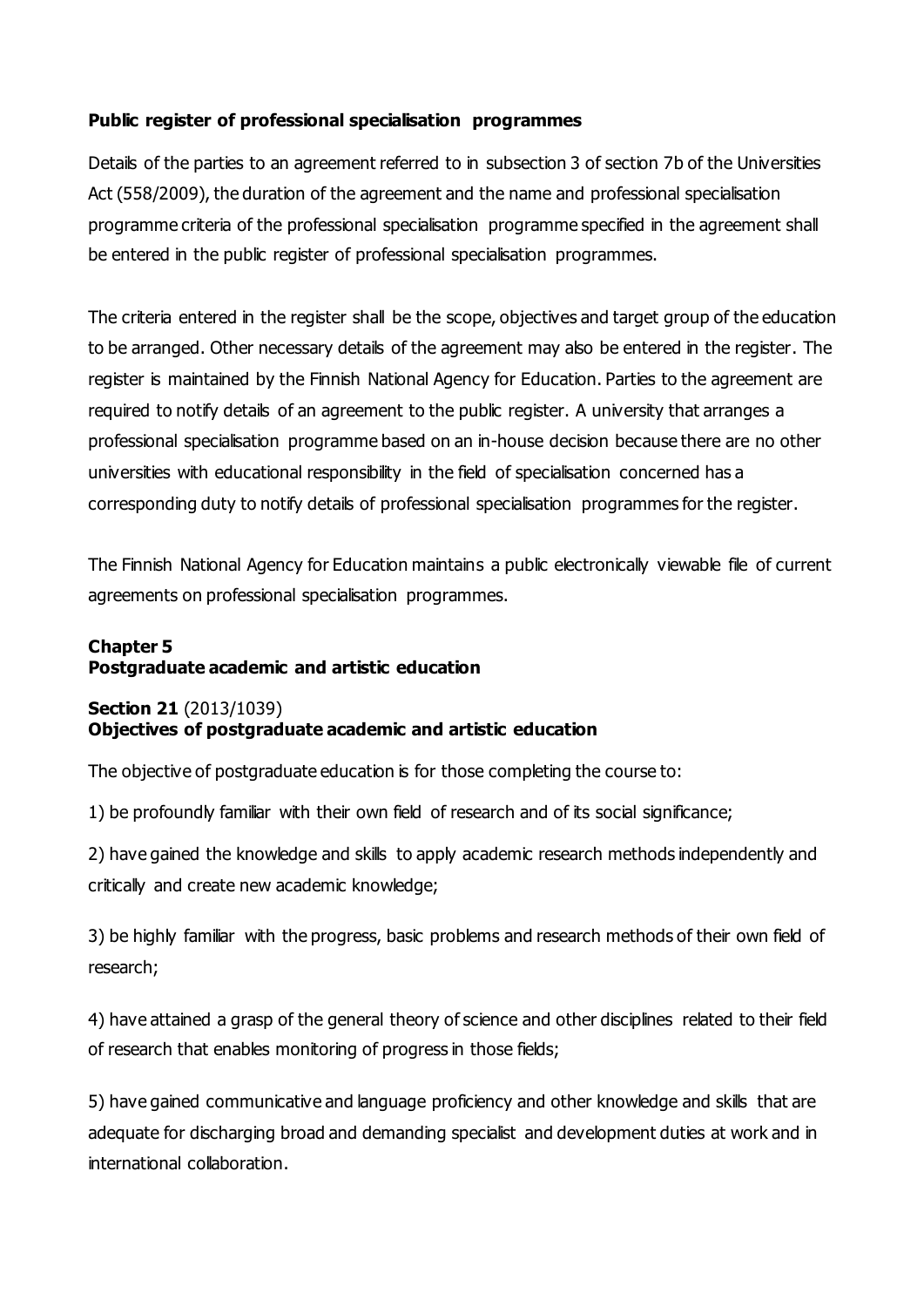#### **Public register of professional specialisation programmes**

Details of the parties to an agreement referred to in subsection 3 of section 7b of the Universities Act (558/2009), the duration of the agreement and the name and professional specialisation programme criteria of the professional specialisation programme specified in the agreement shall be entered in the public register of professional specialisation programmes.

The criteria entered in the register shall be the scope, objectives and target group of the education to be arranged. Other necessary details of the agreement may also be entered in the register. The register is maintained by the Finnish National Agency for Education. Parties to the agreement are required to notify details of an agreement to the public register. A university that arranges a professional specialisation programme based on an in-house decision because there are no other universities with educational responsibility in the field of specialisation concerned has a corresponding duty to notify details of professional specialisation programmes for the register.

The Finnish National Agency for Education maintains a public electronically viewable file of current agreements on professional specialisation programmes.

# **Chapter 5 Postgraduate academic and artistic education**

#### **Section 21** (2013/1039) **Objectives of postgraduate academic and artistic education**

The objective of postgraduate education is for those completing the course to:

1) be profoundly familiar with their own field of research and of its social significance;

2) have gained the knowledge and skills to apply academic research methods independently and critically and create new academic knowledge;

3) be highly familiar with the progress, basic problems and research methods of their own field of research;

4) have attained a grasp of the general theory of science and other disciplines related to their field of research that enables monitoring of progress in those fields;

5) have gained communicative and language proficiency and other knowledge and skills that are adequate for discharging broad and demanding specialist and development duties at work and in international collaboration.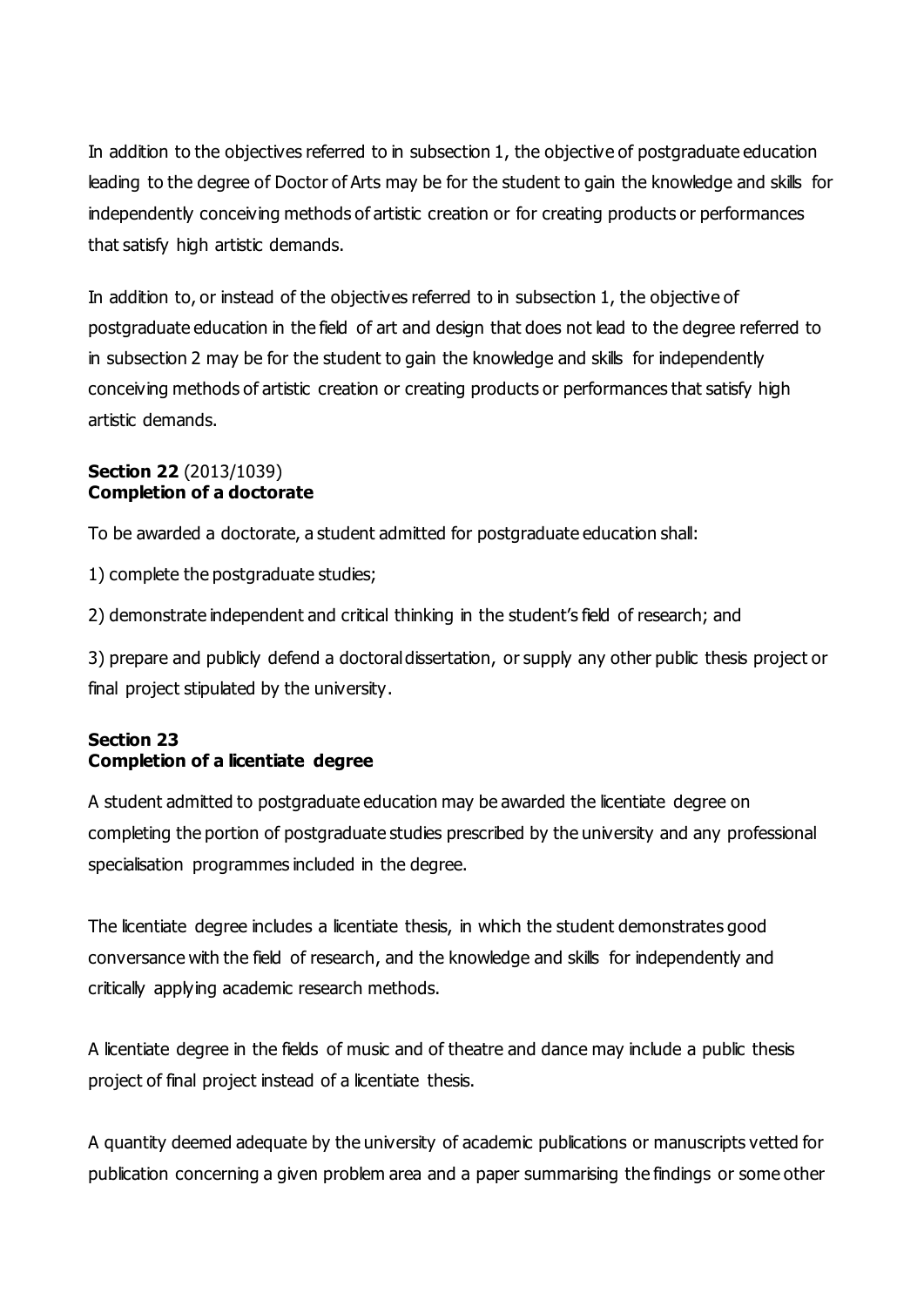In addition to the objectives referred to in subsection 1, the objective of postgraduate education leading to the degree of Doctor of Arts may be for the student to gain the knowledge and skills for independently conceiving methods of artistic creation or for creating products or performances that satisfy high artistic demands.

In addition to, or instead of the objectives referred to in subsection 1, the objective of postgraduate education in the field of art and design that does not lead to the degree referred to in subsection 2 may be for the student to gain the knowledge and skills for independently conceiving methods of artistic creation or creating products or performances that satisfy high artistic demands.

## **Section 22** (2013/1039) **Completion of a doctorate**

To be awarded a doctorate, a student admitted for postgraduate education shall:

1) complete the postgraduate studies;

2) demonstrate independent and critical thinking in the student's field of research; and

3) prepare and publicly defend a doctoral dissertation, or supply any other public thesis project or final project stipulated by the university.

# **Section 23 Completion of a licentiate degree**

A student admitted to postgraduate education may be awarded the licentiate degree on completing the portion of postgraduate studies prescribed by the university and any professional specialisation programmes included in the degree.

The licentiate degree includes a licentiate thesis, in which the student demonstrates good conversance with the field of research, and the knowledge and skills for independently and critically applying academic research methods.

A licentiate degree in the fields of music and of theatre and dance may include a public thesis project of final project instead of a licentiate thesis.

A quantity deemed adequate by the university of academic publications or manuscripts vetted for publication concerning a given problem area and a paper summarising the findings or some other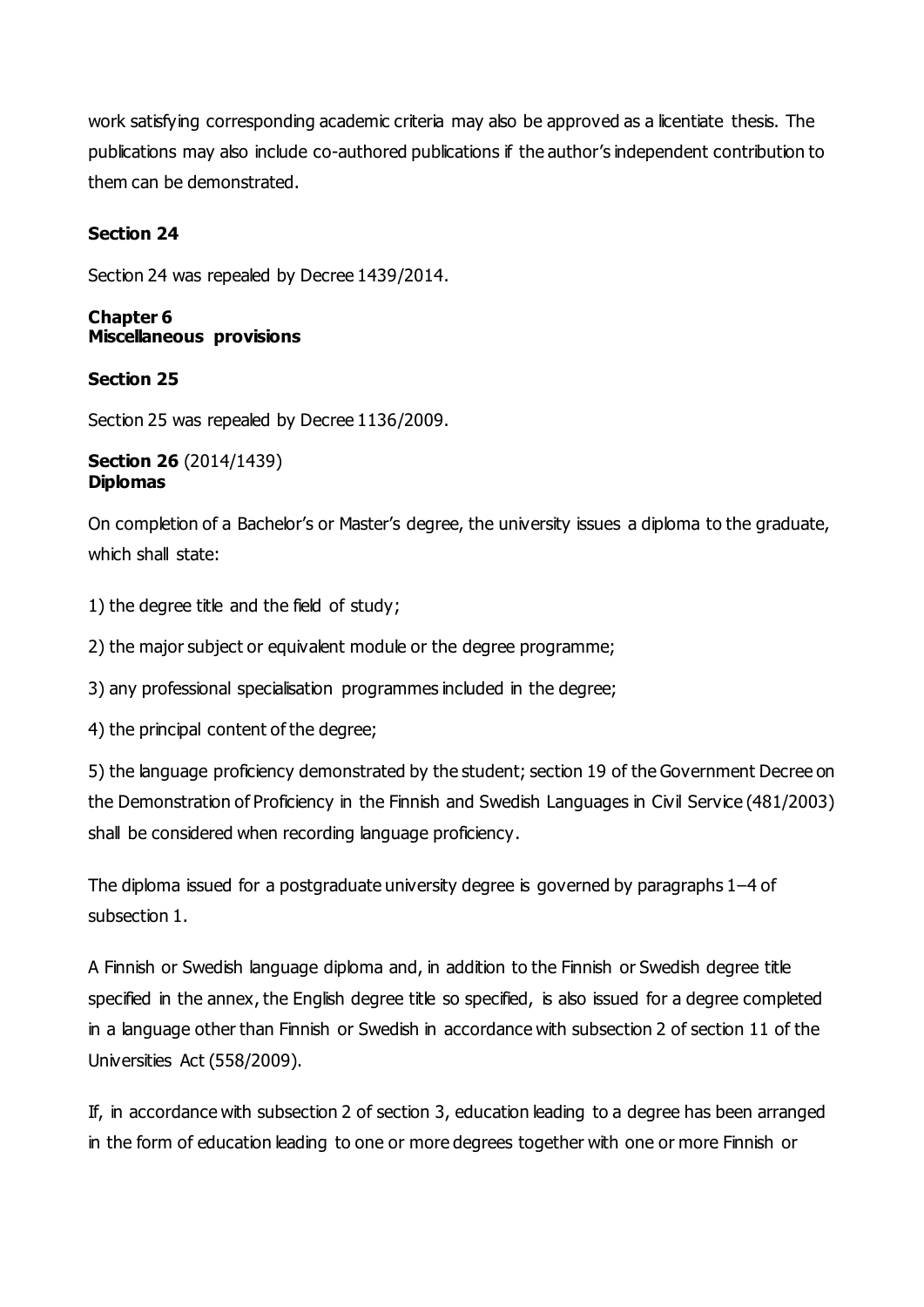work satisfying corresponding academic criteria may also be approved as a licentiate thesis. The publications may also include co-authored publications if the author's independent contribution to them can be demonstrated.

## **Section 24**

Section 24 was repealed by Decree 1439/2014.

#### **Chapter 6 Miscellaneous provisions**

#### **Section 25**

Section 25 was repealed by Decree 1136/2009.

#### **Section 26** (2014/1439) **Diplomas**

On completion of a Bachelor's or Master's degree, the university issues a diploma to the graduate, which shall state:

1) the degree title and the field of study;

2) the major subject or equivalent module or the degree programme;

3) any professional specialisation programmes included in the degree;

4) the principal content of the degree;

5) the language proficiency demonstrated by the student; section 19 of the Government Decree on the Demonstration of Proficiency in the Finnish and Swedish Languages in Civil Service (481/2003) shall be considered when recording language proficiency.

The diploma issued for a postgraduate university degree is governed by paragraphs 1–4 of subsection 1.

A Finnish or Swedish language diploma and, in addition to the Finnish or Swedish degree title specified in the annex, the English degree title so specified, is also issued for a degree completed in a language other than Finnish or Swedish in accordance with subsection 2 of section 11 of the Universities Act (558/2009).

If, in accordance with subsection 2 of section 3, education leading to a degree has been arranged in the form of education leading to one or more degrees together with one or more Finnish or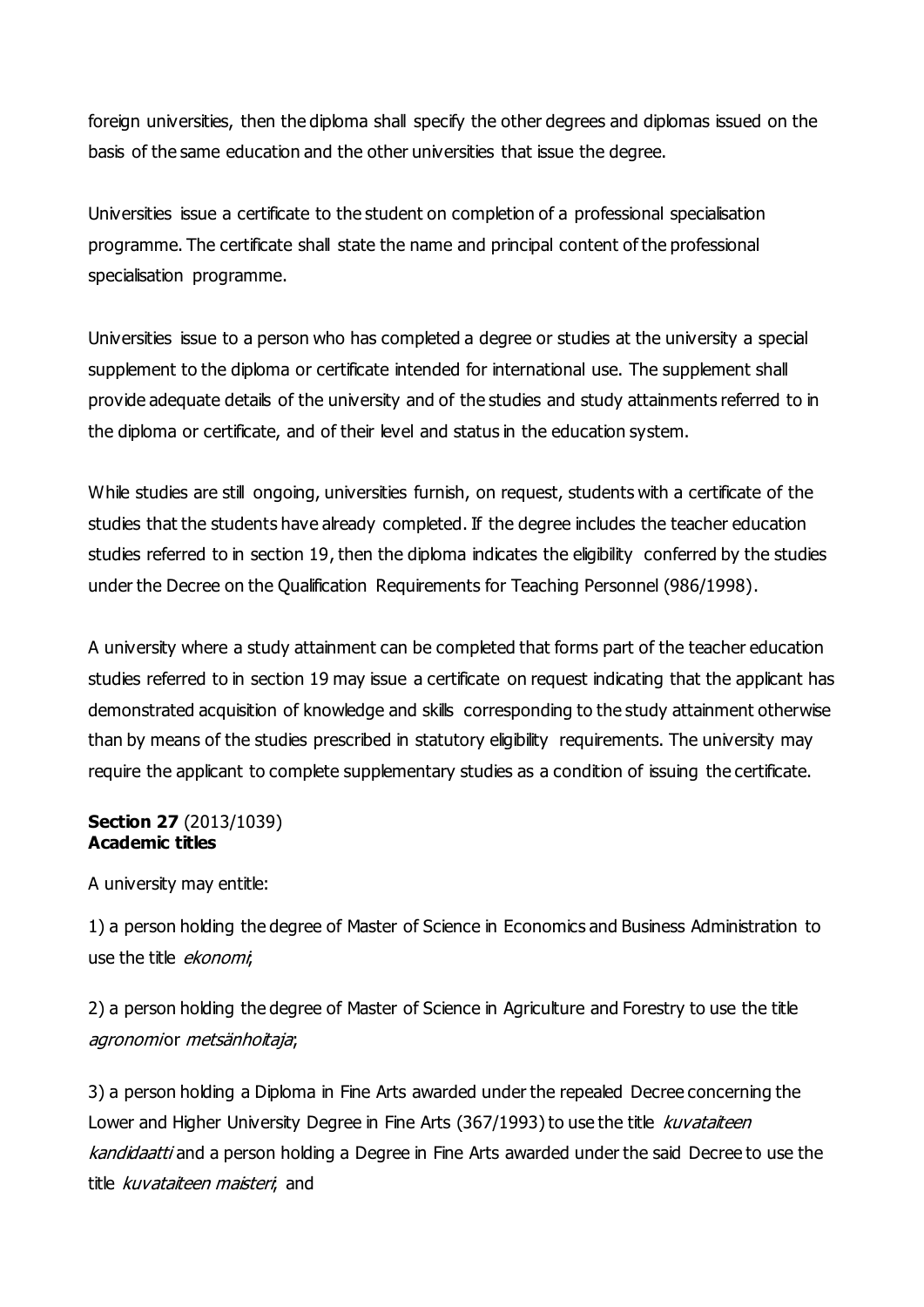foreign universities, then the diploma shall specify the other degrees and diplomas issued on the basis of the same education and the other universities that issue the degree.

Universities issue a certificate to the student on completion of a professional specialisation programme. The certificate shall state the name and principal content of the professional specialisation programme.

Universities issue to a person who has completed a degree or studies at the university a special supplement to the diploma or certificate intended for international use. The supplement shall provide adequate details of the university and of the studies and study attainments referred to in the diploma or certificate, and of their level and status in the education system.

While studies are still ongoing, universities furnish, on request, students with a certificate of the studies that the students have already completed. If the degree includes the teacher education studies referred to in section 19, then the diploma indicates the eligibility conferred by the studies under the Decree on the Qualification Requirements for Teaching Personnel (986/1998).

A university where a study attainment can be completed that forms part of the teacher education studies referred to in section 19 may issue a certificate on request indicating that the applicant has demonstrated acquisition of knowledge and skills corresponding to the study attainment otherwise than by means of the studies prescribed in statutory eligibility requirements. The university may require the applicant to complete supplementary studies as a condition of issuing the certificate.

#### **Section 27** (2013/1039) **Academic titles**

A university may entitle:

1) a person holding the degree of Master of Science in Economics and Business Administration to use the title *ekonomi*,

2) a person holding the degree of Master of Science in Agriculture and Forestry to use the title agronomior metsänhoitaja;

3) a person holding a Diploma in Fine Arts awarded under the repealed Decree concerning the Lower and Higher University Degree in Fine Arts (367/1993) to use the title kuvataiteen kandidaatti and a person holding a Degree in Fine Arts awarded under the said Decree to use the title kuvataiteen maisteri, and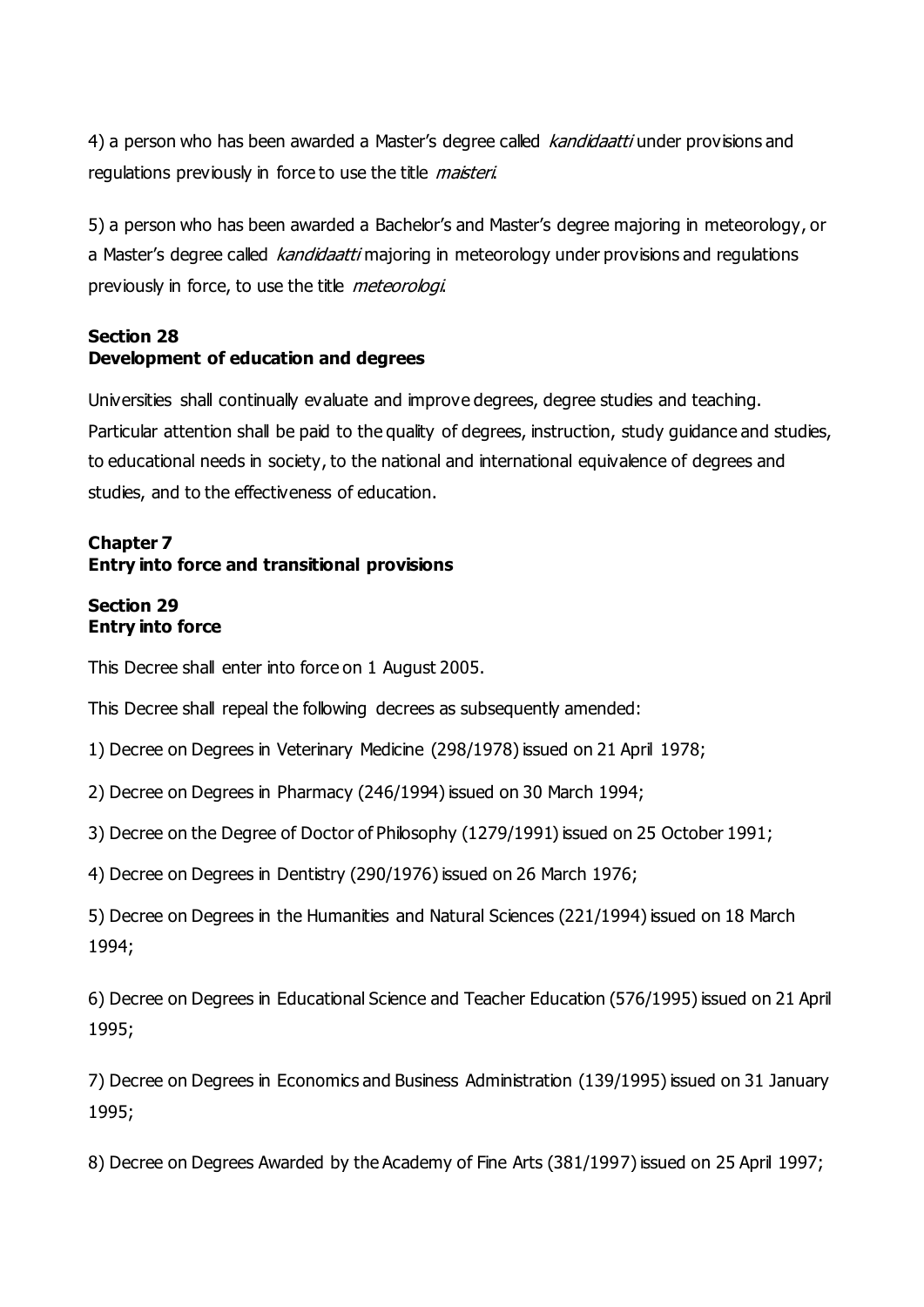4) a person who has been awarded a Master's degree called *kandidaatti* under provisions and regulations previously in force to use the title *maisteri*.

5) a person who has been awarded a Bachelor's and Master's degree majoring in meteorology, or a Master's degree called kandidaatti majoring in meteorology under provisions and regulations previously in force, to use the title *meteorologi*.

## **Section 28 Development of education and degrees**

Universities shall continually evaluate and improve degrees, degree studies and teaching. Particular attention shall be paid to the quality of degrees, instruction, study guidance and studies, to educational needs in society, to the national and international equivalence of degrees and studies, and to the effectiveness of education.

# **Chapter 7 Entry into force and transitional provisions**

#### **Section 29 Entry into force**

This Decree shall enter into force on 1 August 2005.

This Decree shall repeal the following decrees as subsequently amended:

1) Decree on Degrees in Veterinary Medicine (298/1978) issued on 21 April 1978;

2) Decree on Degrees in Pharmacy (246/1994) issued on 30 March 1994;

3) Decree on the Degree of Doctor of Philosophy (1279/1991) issued on 25 October 1991;

4) Decree on Degrees in Dentistry (290/1976) issued on 26 March 1976;

5) Decree on Degrees in the Humanities and Natural Sciences (221/1994) issued on 18 March 1994;

6) Decree on Degrees in Educational Science and Teacher Education (576/1995) issued on 21 April 1995;

7) Decree on Degrees in Economics and Business Administration (139/1995) issued on 31 January 1995;

8) Decree on Degrees Awarded by the Academy of Fine Arts (381/1997) issued on 25 April 1997;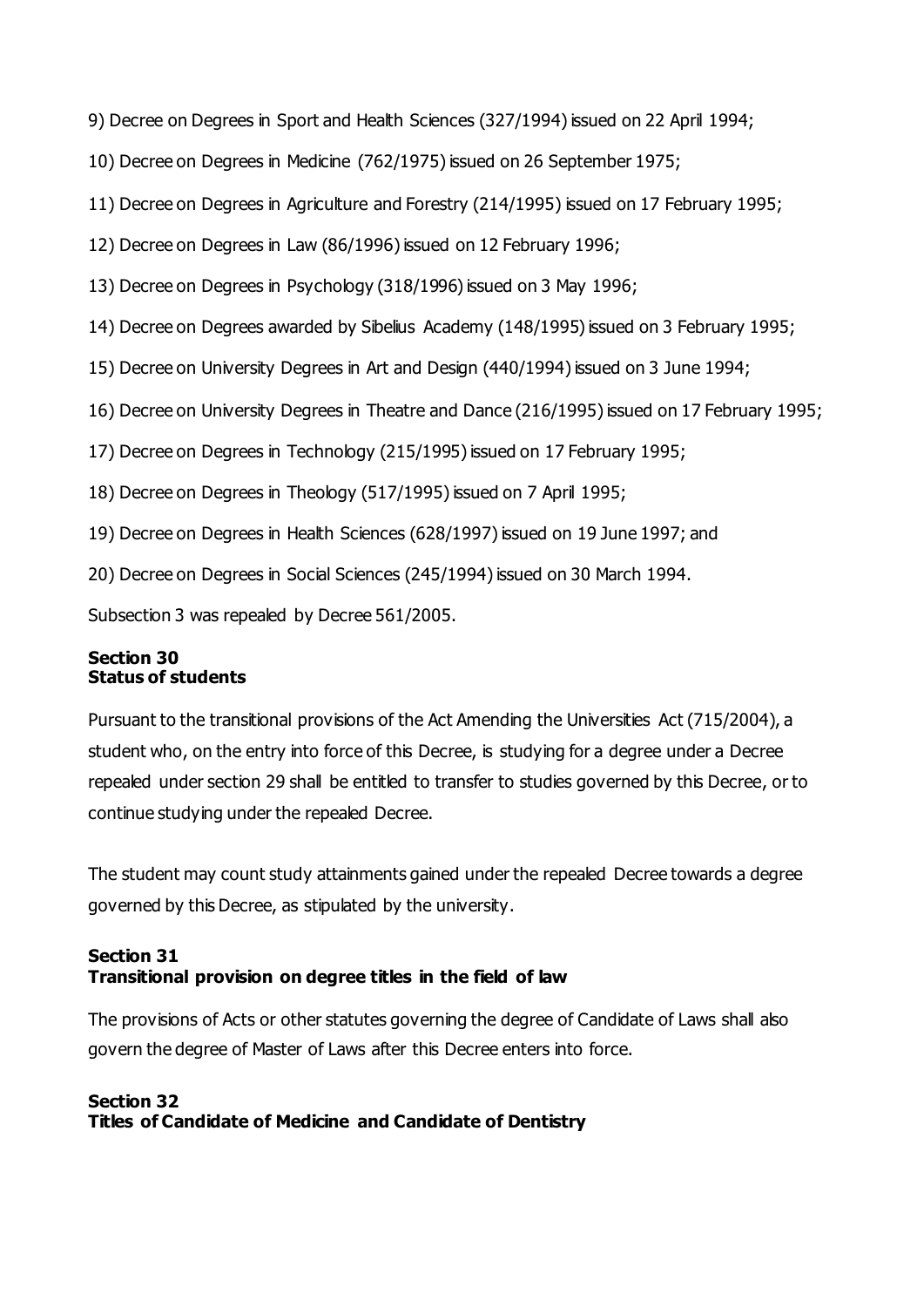9) Decree on Degrees in Sport and Health Sciences (327/1994) issued on 22 April 1994;

10) Decree on Degrees in Medicine (762/1975) issued on 26 September 1975;

11) Decree on Degrees in Agriculture and Forestry (214/1995) issued on 17 February 1995;

12) Decree on Degrees in Law (86/1996) issued on 12 February 1996;

13) Decree on Degrees in Psychology (318/1996) issued on 3 May 1996;

14) Decree on Degrees awarded by Sibelius Academy (148/1995) issued on 3 February 1995;

15) Decree on University Degrees in Art and Design (440/1994) issued on 3 June 1994;

16) Decree on University Degrees in Theatre and Dance (216/1995) issued on 17 February 1995;

17) Decree on Degrees in Technology (215/1995) issued on 17 February 1995;

18) Decree on Degrees in Theology (517/1995) issued on 7 April 1995;

19) Decree on Degrees in Health Sciences (628/1997) issued on 19 June 1997; and

20) Decree on Degrees in Social Sciences (245/1994) issued on 30 March 1994.

Subsection 3 was repealed by Decree 561/2005.

#### **Section 30 Status of students**

Pursuant to the transitional provisions of the Act Amending the Universities Act (715/2004), a student who, on the entry into force of this Decree, is studying for a degree under a Decree repealed under section 29 shall be entitled to transfer to studies governed by this Decree, or to continue studying under the repealed Decree.

The student may count study attainments gained under the repealed Decree towards a degree governed by this Decree, as stipulated by the university.

#### **Section 31 Transitional provision on degree titles in the field of law**

The provisions of Acts or other statutes governing the degree of Candidate of Laws shall also govern the degree of Master of Laws after this Decree enters into force.

# **Section 32 Titles of Candidate of Medicine and Candidate of Dentistry**